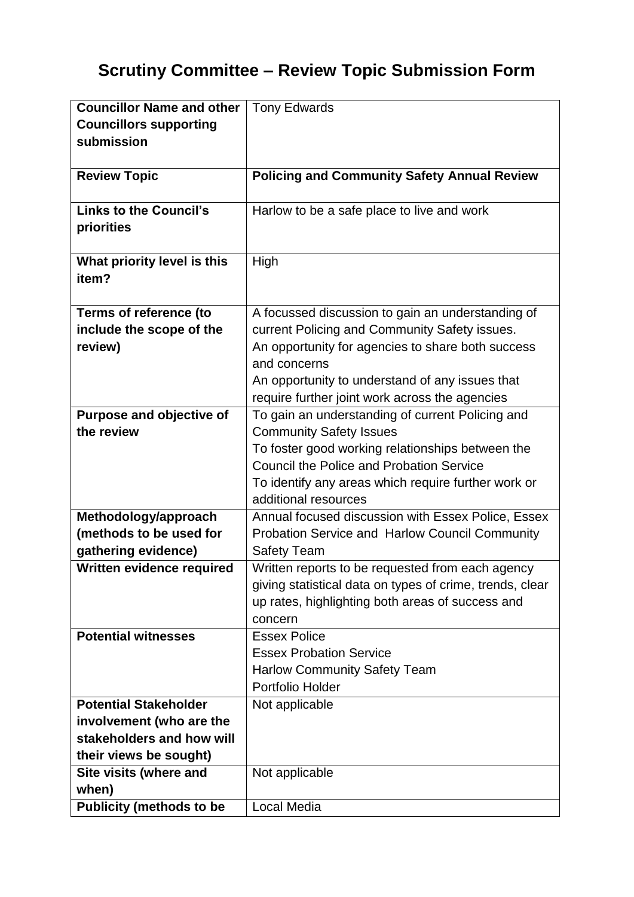## **Scrutiny Committee – Review Topic Submission Form**

| <b>Councillor Name and other</b>                                       | <b>Tony Edwards</b>                                                                                                                                                                                                                                                          |
|------------------------------------------------------------------------|------------------------------------------------------------------------------------------------------------------------------------------------------------------------------------------------------------------------------------------------------------------------------|
| <b>Councillors supporting</b>                                          |                                                                                                                                                                                                                                                                              |
| submission                                                             |                                                                                                                                                                                                                                                                              |
| <b>Review Topic</b>                                                    | <b>Policing and Community Safety Annual Review</b>                                                                                                                                                                                                                           |
| <b>Links to the Council's</b><br>priorities                            | Harlow to be a safe place to live and work                                                                                                                                                                                                                                   |
| What priority level is this<br>item?                                   | High                                                                                                                                                                                                                                                                         |
| <b>Terms of reference (to</b><br>include the scope of the<br>review)   | A focussed discussion to gain an understanding of<br>current Policing and Community Safety issues.<br>An opportunity for agencies to share both success<br>and concerns<br>An opportunity to understand of any issues that<br>require further joint work across the agencies |
| Purpose and objective of<br>the review                                 | To gain an understanding of current Policing and<br><b>Community Safety Issues</b><br>To foster good working relationships between the<br><b>Council the Police and Probation Service</b><br>To identify any areas which require further work or<br>additional resources     |
| Methodology/approach<br>(methods to be used for<br>gathering evidence) | Annual focused discussion with Essex Police, Essex<br>Probation Service and Harlow Council Community<br><b>Safety Team</b>                                                                                                                                                   |
| Written evidence required                                              | Written reports to be requested from each agency<br>giving statistical data on types of crime, trends, clear<br>up rates, highlighting both areas of success and<br>concern                                                                                                  |
| <b>Potential witnesses</b>                                             | <b>Essex Police</b><br><b>Essex Probation Service</b><br><b>Harlow Community Safety Team</b><br>Portfolio Holder                                                                                                                                                             |
| <b>Potential Stakeholder</b>                                           | Not applicable                                                                                                                                                                                                                                                               |
| involvement (who are the                                               |                                                                                                                                                                                                                                                                              |
| stakeholders and how will                                              |                                                                                                                                                                                                                                                                              |
| their views be sought)                                                 |                                                                                                                                                                                                                                                                              |
| Site visits (where and<br>when)                                        | Not applicable                                                                                                                                                                                                                                                               |
| <b>Publicity (methods to be</b>                                        | Local Media                                                                                                                                                                                                                                                                  |